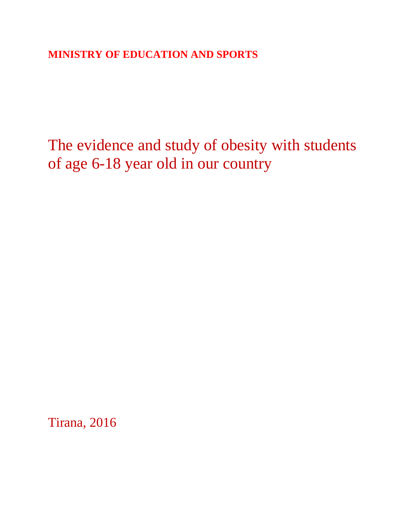**MINISTRY OF EDUCATION AND SPORTS**

The evidence and study of obesity with students of age 6-18 year old in our country

Tirana, 2016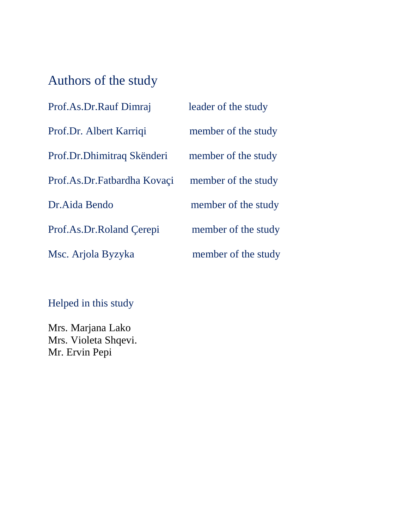# Authors of the study

| Prof.As.Dr.Rauf Dimraj      | leader of the study |
|-----------------------------|---------------------|
| Prof.Dr. Albert Karriqi     | member of the study |
| Prof.Dr.Dhimitraq Skënderi  | member of the study |
| Prof.As.Dr.Fatbardha Kovaçi | member of the study |
| Dr. Aida Bendo              | member of the study |
| Prof.As.Dr.Roland Cerepi    | member of the study |
| Msc. Arjola Byzyka          | member of the study |

Helped in this study

Mrs. Marjana Lako Mrs. Violeta Shqevi. Mr. Ervin Pepi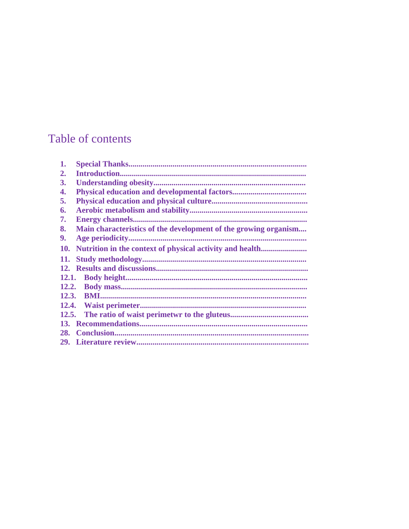# Table of contents

| 1.         |                                                                 |
|------------|-----------------------------------------------------------------|
| 2.         |                                                                 |
| 3.         |                                                                 |
| 4.         |                                                                 |
| 5.         |                                                                 |
| 6.         |                                                                 |
| 7.         |                                                                 |
| 8.         | Main characteristics of the development of the growing organism |
| 9.         |                                                                 |
| <b>10.</b> |                                                                 |
| 11.        |                                                                 |
| <b>12.</b> |                                                                 |
|            |                                                                 |
| 12.2.      |                                                                 |
| 12.3.      |                                                                 |
| 12.4.      |                                                                 |
| 12.5.      |                                                                 |
|            |                                                                 |
| 28.        |                                                                 |
| <b>29.</b> |                                                                 |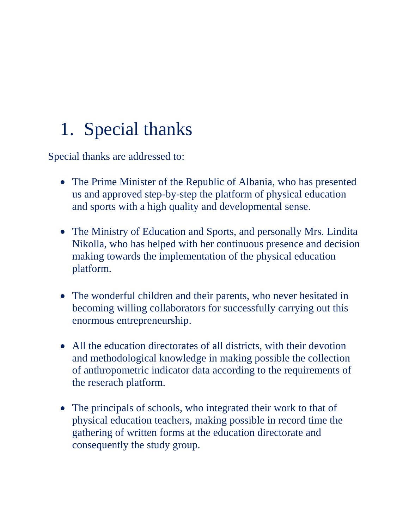# 1. Special thanks

Special thanks are addressed to:

- The Prime Minister of the Republic of Albania, who has presented us and approved step-by-step the platform of physical education and sports with a high quality and developmental sense.
- The Ministry of Education and Sports, and personally Mrs. Lindita Nikolla, who has helped with her continuous presence and decision making towards the implementation of the physical education platform.
- The wonderful children and their parents, who never hesitated in becoming willing collaborators for successfully carrying out this enormous entrepreneurship.
- All the education directorates of all districts, with their devotion and methodological knowledge in making possible the collection of anthropometric indicator data according to the requirements of the reserach platform.
- The principals of schools, who integrated their work to that of physical education teachers, making possible in record time the gathering of written forms at the education directorate and consequently the study group.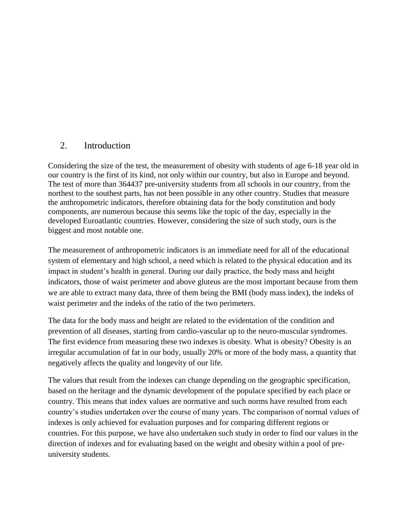## 2. Introduction

Considering the size of the test, the measurement of obesity with students of age 6-18 year old in our country is the first of its kind, not only within our country, but also in Europe and beyond. The test of more than 364437 pre-university students from all schools in our country, from the northest to the southest parts, has not been possible in any other country. Studies that measure the anthropometric indicators, therefore obtaining data for the body constitution and body components, are numerous because this seems like the topic of the day, especially in the developed Euroatlantic countries. However, considering the size of such study, ours is the biggest and most notable one.

The measurement of anthropometric indicators is an immediate need for all of the educational system of elementary and high school, a need which is related to the physical education and its impact in student's health in general. During our daily practice, the body mass and height indicators, those of waist perimeter and above gluteus are the most important because from them we are able to extract many data, three of them being the BMI (body mass index), the indeks of waist perimeter and the indeks of the ratio of the two perimeters.

The data for the body mass and height are related to the evidentation of the condition and prevention of all diseases, starting from cardio-vascular up to the neuro-muscular syndromes. The first evidence from measuring these two indexes is obesity. What is obesity? Obesity is an irregular accumulation of fat in our body, usually 20% or more of the body mass, a quantity that negatively affects the quality and longevity of our life.

The values that result from the indexes can change depending on the geographic specification, based on the heritage and the dynamic development of the populace specified by each place or country. This means that index values are normative and such norms have resulted from each country's studies undertaken over the course of many years. The comparison of normal values of indexes is only achieved for evaluation purposes and for comparing different regions or countries. For this purpose, we have also undertaken such study in order to find our values in the direction of indexes and for evaluating based on the weight and obesity within a pool of preuniversity students.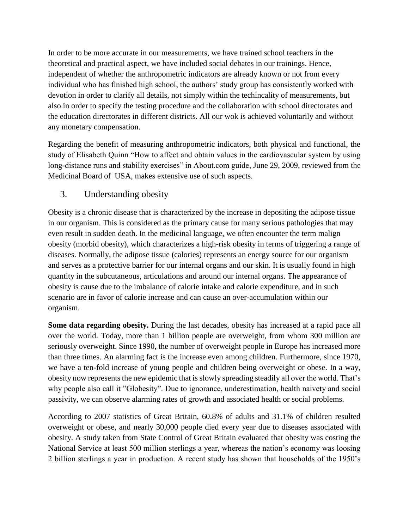In order to be more accurate in our measurements, we have trained school teachers in the theoretical and practical aspect, we have included social debates in our trainings. Hence, independent of whether the anthropometric indicators are already known or not from every individual who has finished high school, the authors' study group has consistently worked with devotion in order to clarify all details, not simply within the techincality of measurements, but also in order to specify the testing procedure and the collaboration with school directorates and the education directorates in different districts. All our wok is achieved voluntarily and without any monetary compensation.

Regarding the benefit of measuring anthropometric indicators, both physical and functional, the study of Elisabeth Quinn "How to affect and obtain values in the cardiovascular system by using long-distance runs and stability exercises" in About.com guide, June 29, 2009, reviewed from the Medicinal Board of USA, makes extensive use of such aspects.

# 3. Understanding obesity

Obesity is a chronic disease that is characterized by the increase in depositing the adipose tissue in our organism. This is considered as the primary cause for many serious pathologies that may even result in sudden death. In the medicinal language, we often encounter the term malign obesity (morbid obesity), which characterizes a high-risk obesity in terms of triggering a range of diseases. Normally, the adipose tissue (calories) represents an energy source for our organism and serves as a protective barrier for our internal organs and our skin. It is usually found in high quantity in the subcutaneous, articulations and around our internal organs. The appearance of obesity is cause due to the imbalance of calorie intake and calorie expenditure, and in such scenario are in favor of calorie increase and can cause an over-accumulation within our organism.

**Some data regarding obesity.** During the last decades, obesity has increased at a rapid pace all over the world. Today, more than 1 billion people are overweight, from whom 300 million are seriously overweight. Since 1990, the number of overweight people in Europe has increased more than three times. An alarming fact is the increase even among children. Furthermore, since 1970, we have a ten-fold increase of young people and children being overweight or obese. In a way, obesity now represents the new epidemic that is slowly spreading steadily all over the world. That's why people also call it "Globesity". Due to ignorance, underestimation, health naivety and social passivity, we can observe alarming rates of growth and associated health or social problems.

According to 2007 statistics of Great Britain, 60.8% of adults and 31.1% of children resulted overweight or obese, and nearly 30,000 people died every year due to diseases associated with obesity. A study taken from State Control of Great Britain evaluated that obesity was costing the National Service at least 500 million sterlings a year, whereas the nation's economy was loosing 2 billion sterlings a year in production. A recent study has shown that households of the 1950's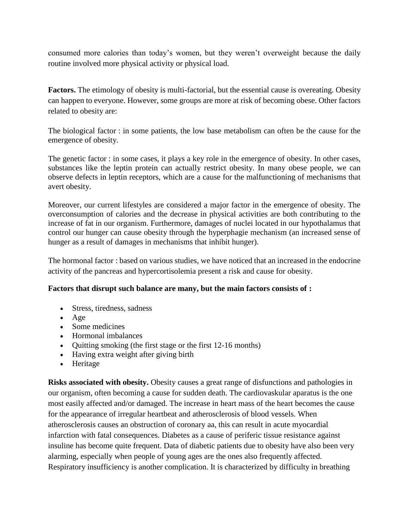consumed more calories than today's women, but they weren't overweight because the daily routine involved more physical activity or physical load.

**Factors.** The etimology of obesity is multi-factorial, but the essential cause is overeating. Obesity can happen to everyone. However, some groups are more at risk of becoming obese. Other factors related to obesity are:

The biological factor : in some patients, the low base metabolism can often be the cause for the emergence of obesity.

The genetic factor : in some cases, it plays a key role in the emergence of obesity. In other cases, substances like the leptin protein can actually restrict obesity. In many obese people, we can observe defects in leptin receptors, which are a cause for the malfunctioning of mechanisms that avert obesity.

Moreover, our current lifestyles are considered a major factor in the emergence of obesity. The overconsumption of calories and the decrease in physical activities are both contributing to the increase of fat in our organism. Furthermore, damages of nuclei located in our hypothalamus that control our hunger can cause obesity through the hyperphagie mechanism (an increased sense of hunger as a result of damages in mechanisms that inhibit hunger).

The hormonal factor : based on various studies, we have noticed that an increased in the endocrine activity of the pancreas and hypercortisolemia present a risk and cause for obesity.

#### **Factors that disrupt such balance are many, but the main factors consists of :**

- Stress, tiredness, sadness
- $\bullet$  Age
- Some medicines
- Hormonal imbalances
- Quitting smoking (the first stage or the first 12-16 months)
- Having extra weight after giving birth
- Heritage

**Risks associated with obesity.** Obesity causes a great range of disfunctions and pathologies in our organism, often becoming a cause for sudden death. The cardiovaskular aparatus is the one most easily affected and/or damaged. The increase in heart mass of the heart becomes the cause for the appearance of irregular heartbeat and atherosclerosis of blood vessels. When atherosclerosis causes an obstruction of coronary aa, this can result in acute myocardial infarction with fatal consequences. Diabetes as a cause of periferic tissue resistance against insuline has become quite frequent. Data of diabetic patients due to obesity have also been very alarming, especially when people of young ages are the ones also frequently affected. Respiratory insufficiency is another complication. It is characterized by difficulty in breathing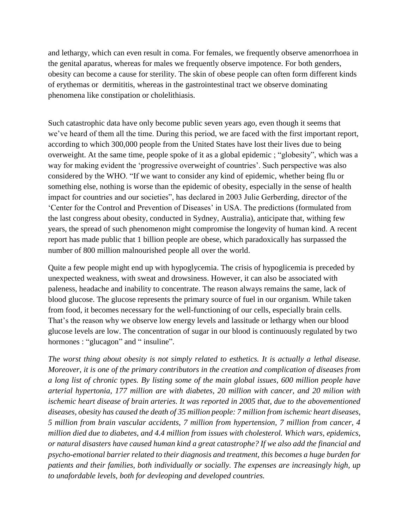and lethargy, which can even result in coma. For females, we frequently observe amenorrhoea in the genital aparatus, whereas for males we frequently observe impotence. For both genders, obesity can become a cause for sterility. The skin of obese people can often form different kinds of erythemas or dermititis, whereas in the gastrointestinal tract we observe dominating phenomena like constipation or cholelithiasis.

Such catastrophic data have only become public seven years ago, even though it seems that we've heard of them all the time. During this period, we are faced with the first important report, according to which 300,000 people from the United States have lost their lives due to being overweight. At the same time, people spoke of it as a global epidemic ; "globesity", which was a way for making evident the 'progressive overweight of countries'. Such perspective was also considered by the WHO. "If we want to consider any kind of epidemic, whether being flu or something else, nothing is worse than the epidemic of obesity, especially in the sense of health impact for countries and our societies", has declared in 2003 Julie Gerberding, director of the 'Center for the Control and Prevention of Diseases' in USA. The predictions (formulated from the last congress about obesity, conducted in Sydney, Australia), anticipate that, withing few years, the spread of such phenomenon might compromise the longevity of human kind. A recent report has made public that 1 billion people are obese, which paradoxically has surpassed the number of 800 million malnourished people all over the world.

Quite a few people might end up with hypoglycemia. The crisis of hypoglicemia is preceded by unexpected weakness, with sweat and drowsiness. However, it can also be associated with paleness, headache and inability to concentrate. The reason always remains the same, lack of blood glucose. The glucose represents the primary source of fuel in our organism. While taken from food, it becomes necessary for the well-functioning of our cells, especially brain cells. That's the reason why we observe low energy levels and lassitude or lethargy when our blood glucose levels are low. The concentration of sugar in our blood is continuously regulated by two hormones : "glucagon" and " insuline".

*The worst thing about obesity is not simply related to esthetics. It is actually a lethal disease. Moreover, it is one of the primary contributors in the creation and complication of diseases from a long list of chronic types. By listing some of the main global issues, 600 million people have arterial hypertonia, 177 million are with diabetes, 20 million with cancer, and 20 milion with ischemic heart disease of brain arteries. It was reported in 2005 that, due to the abovementioned diseases, obesity has caused the death of 35 million people: 7 million from ischemic heart diseases, 5 million from brain vascular accidents, 7 million from hypertension, 7 million from cancer, 4 million died due to diabetes, and 4.4 million from issues with cholesterol. Which wars, epidemics, or natural disasters have caused human kind a great catastrophe? If we also add the financial and psycho-emotional barrier related to their diagnosis and treatment, this becomes a huge burden for patients and their families, both individually or socially. The expenses are increasingly high, up to unafordable levels, both for devleoping and developed countries.*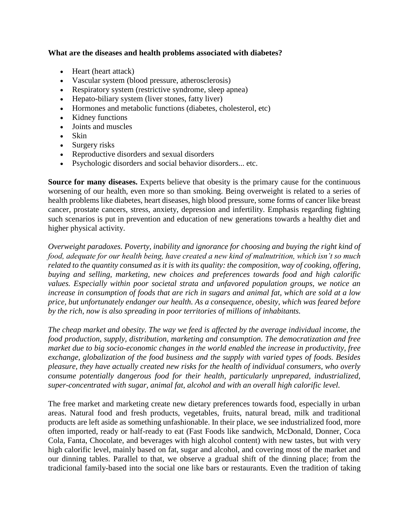#### **What are the diseases and health problems associated with diabetes?**

- Heart (heart attack)
- Vascular system (blood pressure, atherosclerosis)
- Respiratory system (restrictive syndrome, sleep apnea)
- Hepato-biliary system (liver stones, fatty liver)
- Hormones and metabolic functions (diabetes, cholesterol, etc)
- Kidney functions
- Joints and muscles
- Skin
- Surgery risks
- Reproductive disorders and sexual disorders
- Psychologic disorders and social behavior disorders... etc.

**Source for many diseases.** Experts believe that obesity is the primary cause for the continuous worsening of our health, even more so than smoking. Being overweight is related to a series of health problems like diabetes, heart diseases, high blood pressure, some forms of cancer like breast cancer, prostate cancers, stress, anxiety, depression and infertility. Emphasis regarding fighting such scenarios is put in prevention and education of new generations towards a healthy diet and higher physical activity.

*Overweight paradoxes. Poverty, inability and ignorance for choosing and buying the right kind of food, adequate for our health being, have created a new kind of malnutrition, which isn't so much related to the quantity consumed as it is with its quality: the composition, way of cooking, offering, buying and selling, marketing, new choices and preferences towards food and high calorific values. Especially within poor societal strata and unfavored population groups, we notice an increase in consumption of foods that are rich in sugars and animal fat, which are sold at a low price, but unfortunately endanger our health. As a consequence, obesity, which was feared before by the rich, now is also spreading in poor territories of millions of inhabitants.* 

*The cheap market and obesity. The way we feed is affected by the average individual income, the food production, supply, distribution, marketing and consumption. The democratization and free market due to big socio-economic changes in the world enabled the increase in productivity, free exchange, globalization of the food business and the supply with varied types of foods. Besides pleasure, they have actually created new risks for the health of individual consumers, who overly consume potentially dangerous food for their health, particularly unprepared, industrialized, super-concentrated with sugar, animal fat, alcohol and with an overall high calorific level.* 

The free market and marketing create new dietary preferences towards food, especially in urban areas. Natural food and fresh products, vegetables, fruits, natural bread, milk and traditional products are left aside as something unfashionable. In their place, we see industrialized food, more often imported, ready or half-ready to eat (Fast Foods like sandwich, McDonald, Donner, Coca Cola, Fanta, Chocolate, and beverages with high alcohol content) with new tastes, but with very high calorific level, mainly based on fat, sugar and alcohol, and covering most of the market and our dinning tables. Parallel to that, we observe a gradual shift of the dinning place; from the tradicional family-based into the social one like bars or restaurants. Even the tradition of taking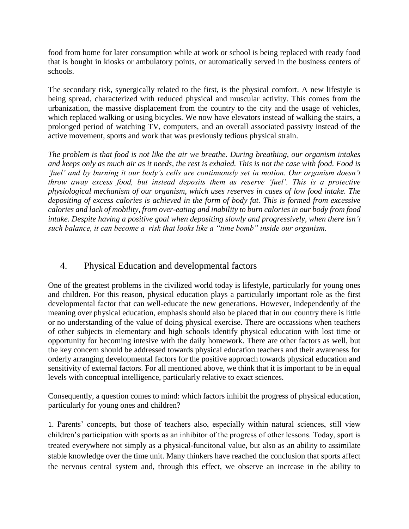food from home for later consumption while at work or school is being replaced with ready food that is bought in kiosks or ambulatory points, or automatically served in the business centers of schools.

The secondary risk, synergically related to the first, is the physical comfort. A new lifestyle is being spread, characterized with reduced physical and muscular activity. This comes from the urbanization, the massive displacement from the country to the city and the usage of vehicles, which replaced walking or using bicycles. We now have elevators instead of walking the stairs, a prolonged period of watching TV, computers, and an overall associated passivty instead of the active movement, sports and work that was previously tedious physical strain.

*The problem is that food is not like the air we breathe. During breathing, our organism intakes and keeps only as much air as it needs, the rest is exhaled. This is not the case with food. Food is 'fuel' and by burning it our body's cells are continuously set in motion. Our organism doesn't throw away excess food, but instead deposits them as reserve 'fuel'. This is a protective physiological mechanism of our organism, which uses reserves in cases of low food intake. The depositing of excess calories is achieved in the form of body fat. This is formed from excessive calories and lack of mobility, from over-eating and inability to burn calories in our body from food intake. Despite having a positive goal when depositing slowly and progressively, when there isn't such balance, it can become a risk that looks like a "time bomb" inside our organism.* 

# 4. Physical Education and developmental factors

One of the greatest problems in the civilized world today is lifestyle, particularly for young ones and children. For this reason, physical education plays a particularly important role as the first developmental factor that can well-educate the new generations. However, independently of the meaning over physical education, emphasis should also be placed that in our country there is little or no understanding of the value of doing physical exercise. There are occassions when teachers of other subjects in elementary and high schools identify physical education with lost time or opportunity for becoming intesive with the daily homework. There are other factors as well, but the key concern should be addressed towards physical education teachers and their awareness for orderly arranging developmental factors for the positive approach towards physical education and sensitivity of external factors. For all mentioned above, we think that it is important to be in equal levels with conceptual intelligence, particularly relative to exact sciences.

Consequently, a question comes to mind: which factors inhibit the progress of physical education, particularly for young ones and children?

1. Parents' concepts, but those of teachers also, especially within natural sciences, still view children's participation with sports as an inhibitor of the progress of other lessons. Today, sport is treated everywhere not simply as a physical-funcitonal value, but also as an ability to assimilate stable knowledge over the time unit. Many thinkers have reached the conclusion that sports affect the nervous central system and, through this effect, we observe an increase in the ability to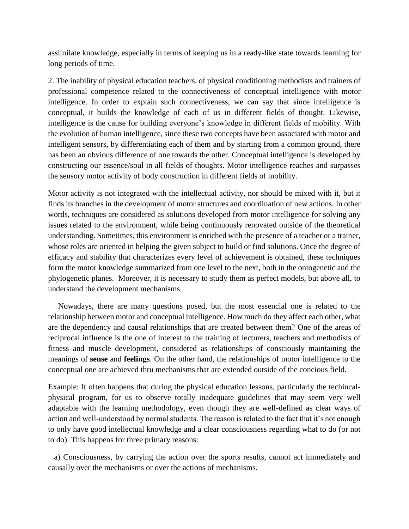assimilate knowledge, especially in terms of keeping us in a ready-like state towards learning for long periods of time.

2. The inability of physical education teachers, of physical conditioning methodists and trainers of professional competence related to the connectiveness of conceptual intelligence with motor intelligence. In order to explain such connectiveness, we can say that since intelligence is conceptual, it builds the knowledge of each of us in different fields of thought. Likewise, intelligence is the cause for building everyone's knowledge in different fields of mobility. With the evolution of human intelligence, since these two concepts have been associated with motor and intelligent sensors, by differentiating each of them and by starting from a common ground, there has been an obvious difference of one towards the other. Conceptual intelligence is developed by constructing our essence/soul in all fields of thoughts. Motor intelligence reaches and surpasses the sensory motor activity of body construction in different fields of mobility.

Motor activity is not integrated with the intellectual activity, nor should be mixed with it, but it finds its branches in the development of motor structures and coordination of new actions. In other words, techniques are considered as solutions developed from motor intelligence for solving any issues related to the environment, while being continuously renovated outside of the theoretical understanding. Sometimes, this environment is enriched with the presence of a teacher or a trainer, whose roles are oriented in helping the given subject to build or find solutions. Once the degree of efficacy and stability that characterizes every level of achievement is obtained, these techniques form the motor knowledge summarized from one level to the next, both in the ontogenetic and the phylogenetic planes. Moreover, it is necessary to study them as perfect models, but above all, to understand the development mechanisms.

 Nowadays, there are many questions posed, but the most essencial one is related to the relationship between motor and conceptual intelligence. How much do they affect each other, what are the dependency and causal relationships that are created between them? One of the areas of reciprocal influence is the one of interest to the training of lecturers, teachers and methodists of fitness and muscle development, considered as relationships of consciously maintaining the meanings of **sense** and **feelings**. On the other hand, the relationships of motor intelligence to the conceptual one are achieved thru mechanisms that are extended outside of the concious field.

Example: It often happens that during the physical education lessons, particularly the techincalphysical program, for us to observe totally inadequate guidelines that may seem very well adaptable with the learning methodology, even though they are well-defined as clear ways of action and well-understood by normal students. The reason is related to the fact that it's not enough to only have good intellectual knowledge and a clear consciousness regarding what to do (or not to do). This happens for three primary reasons:

 a) Consciousness, by carrying the action over the sports results, cannot act immediately and causally over the mechanisms or over the actions of mechanisms.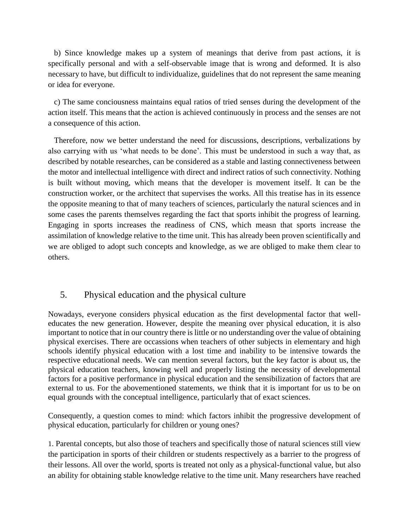b) Since knowledge makes up a system of meanings that derive from past actions, it is specifically personal and with a self-observable image that is wrong and deformed. It is also necessary to have, but difficult to individualize, guidelines that do not represent the same meaning or idea for everyone.

 c) The same conciousness maintains equal ratios of tried senses during the development of the action itself. This means that the action is achieved continuously in process and the senses are not a consequence of this action.

 Therefore, now we better understand the need for discussions, descriptions, verbalizations by also carrying with us 'what needs to be done'. This must be understood in such a way that, as described by notable researches, can be considered as a stable and lasting connectiveness between the motor and intellectual intelligence with direct and indirect ratios of such connectivity. Nothing is built without moving, which means that the developer is movement itself. It can be the construction worker, or the architect that supervises the works. All this treatise has in its essence the opposite meaning to that of many teachers of sciences, particularly the natural sciences and in some cases the parents themselves regarding the fact that sports inhibit the progress of learning. Engaging in sports increases the readiness of CNS, which measn that sports increase the assimilation of knowledge relative to the time unit. This has already been proven scientifically and we are obliged to adopt such concepts and knowledge, as we are obliged to make them clear to others.

## 5. Physical education and the physical culture

Nowadays, everyone considers physical education as the first developmental factor that welleducates the new generation. However, despite the meaning over physical education, it is also important to notice that in our country there is little or no understanding over the value of obtaining physical exercises. There are occassions when teachers of other subjects in elementary and high schools identify physical education with a lost time and inability to be intensive towards the respective educational needs. We can mention several factors, but the key factor is about us, the physical education teachers, knowing well and properly listing the necessity of developmental factors for a positive performance in physical education and the sensibilization of factors that are external to us. For the abovementioned statements, we think that it is important for us to be on equal grounds with the conceptual intelligence, particularly that of exact sciences.

Consequently, a question comes to mind: which factors inhibit the progressive development of physical education, particularly for children or young ones?

1. Parental concepts, but also those of teachers and specifically those of natural sciences still view the participation in sports of their children or students respectively as a barrier to the progress of their lessons. All over the world, sports is treated not only as a physical-functional value, but also an ability for obtaining stable knowledge relative to the time unit. Many researchers have reached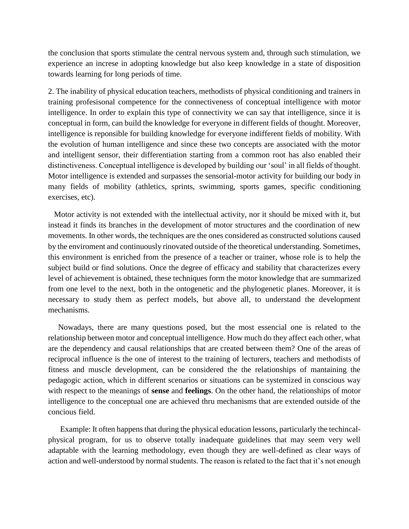the conclusion that sports stimulate the central nervous system and, through such stimulation, we experience an increse in adopting knowledge but also keep knowledge in a state of disposition towards learning for long periods of time.

2. The inability of physical education teachers, methodists of physical conditioning and trainers in training profesisonal competence for the connectiveness of conceptual intelligence with motor intelligence. In order to explain this type of connectivity we can say that intelligence, since it is conceptual in form, can build the knowledge for everyone in different fields of thought. Moreover, intelligence is reponsible for building knowledge for everyone indifferent fields of mobility. With the evolution of human intelligence and since these two concepts are associated with the motor and intelligent sensor, their differentiation starting from a common root has also enabled their distinctiveness. Conceptual intelligence is developed by building our 'soul' in all fields of thought. Motor intelligence is extended and surpasses the sensorial-motor activity for building our body in many fields of mobility (athletics, sprints, swimming, sports games, specific conditioning exercises, etc).

 Motor activity is not extended with the intellectual activity, nor it should be mixed with it, but instead it finds its branches in the development of motor structures and the coordination of new movements. In other words, the techniques are the ones considered as constructed solutions caused by the enviroment and continuously rinovated outside of the theoretical understanding. Sometimes, this environment is enriched from the presence of a teacher or trainer, whose role is to help the subject build or find solutions. Once the degree of efficacy and stability that characterizes every level of achievement is obtained, these techniques form the motor knowledge that are summarized from one level to the next, both in the ontogenetic and the phylogenetic planes. Moreover, it is necessary to study them as perfect models, but above all, to understand the development mechanisms.

 Nowadays, there are many questions posed, but the most essencial one is related to the relationship between motor and conceptual intelligence. How much do they affect each other, what are the dependency and causal relationships that are created between them? One of the areas of reciprocal influence is the one of interest to the training of lecturers, teachers and methodists of fitness and muscle development, can be considered the the relationships of mantaining the pedagogic action, which in different scenarios or situations can be systemized in conscious way with respect to the meanings of **sense** and **feelings**. On the other hand, the relationships of motor intelligence to the conceptual one are achieved thru mechanisms that are extended outside of the concious field.

 Example: It often happens that during the physical education lessons, particularly the techincalphysical program, for us to observe totally inadequate guidelines that may seem very well adaptable with the learning methodology, even though they are well-defined as clear ways of action and well-understood by normal students. The reason is related to the fact that it's not enough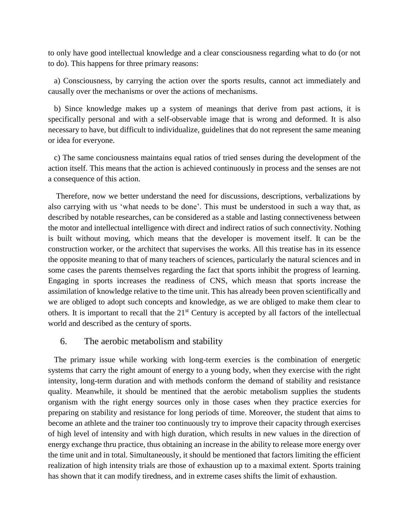to only have good intellectual knowledge and a clear consciousness regarding what to do (or not to do). This happens for three primary reasons:

 a) Consciousness, by carrying the action over the sports results, cannot act immediately and causally over the mechanisms or over the actions of mechanisms.

 b) Since knowledge makes up a system of meanings that derive from past actions, it is specifically personal and with a self-observable image that is wrong and deformed. It is also necessary to have, but difficult to individualize, guidelines that do not represent the same meaning or idea for everyone.

 c) The same conciousness maintains equal ratios of tried senses during the development of the action itself. This means that the action is achieved continuously in process and the senses are not a consequence of this action.

 Therefore, now we better understand the need for discussions, descriptions, verbalizations by also carrying with us 'what needs to be done'. This must be understood in such a way that, as described by notable researches, can be considered as a stable and lasting connectiveness between the motor and intellectual intelligence with direct and indirect ratios of such connectivity. Nothing is built without moving, which means that the developer is movement itself. It can be the construction worker, or the architect that supervises the works. All this treatise has in its essence the opposite meaning to that of many teachers of sciences, particularly the natural sciences and in some cases the parents themselves regarding the fact that sports inhibit the progress of learning. Engaging in sports increases the readiness of CNS, which measn that sports increase the assimilation of knowledge relative to the time unit. This has already been proven scientifically and we are obliged to adopt such concepts and knowledge, as we are obliged to make them clear to others. It is important to recall that the 21<sup>st</sup> Century is accepted by all factors of the intellectual world and described as the century of sports.

#### 6. The aerobic metabolism and stability

 The primary issue while working with long-term exercies is the combination of energetic systems that carry the right amount of energy to a young body, when they exercise with the right intensity, long-term duration and with methods conform the demand of stability and resistance quality. Meanwhile, it should be mentined that the aerobic metabolism supplies the students organism with the right energy sources only in those cases when they practice exercies for preparing on stability and resistance for long periods of time. Moreover, the student that aims to become an athlete and the trainer too continuously try to improve their capacity through exercises of high level of intensity and with high duration, which results in new values in the direction of energy exchange thru practice, thus obtaining an increase in the ability to release more energy over the time unit and in total. Simultaneously, it should be mentioned that factors limiting the efficient realization of high intensity trials are those of exhaustion up to a maximal extent. Sports training has shown that it can modify tiredness, and in extreme cases shifts the limit of exhaustion.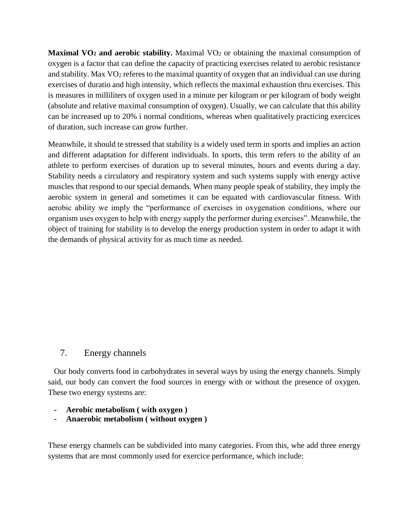**Maximal VO<sub>2</sub> and** aerobic stability. Maximal VO<sub>2</sub> or obtaining the maximal consumption of oxygen is a factor that can define the capacity of practicing exercises related to aerobic resistance and stability. Max VO<sub>2</sub> referes to the maximal quantity of oxygen that an individual can use during exercises of duratio and high intensity, which reflects the maximal exhaustion thru exercises. This is measures in milliliters of oxygen used in a minute per kilogram or per kilogram of body weight (absolute and relative maximal consumption of oxygen). Usually, we can calculate that this ability can be increased up to 20% i normal conditions, whereas when qualitatively practicing exercices of duration, such increase can grow further.

Meanwhile, it should te stressed that stability is a widely used term in sports and implies an action and different adaptation for different individuals. In sports, this term refers to the ability of an athlete to perform exercises of duration up to several minutes, hours and events during a day. Stability needs a circulatory and respiratory system and such systems supply with energy active muscles that respond to our special demands. When many people speak of stability, they imply the aerobic system in general and sometimes it can be equated with cardiovascular fitness. With aerobic ability we imply the "performance of exercises in oxygenation conditions, where our organism uses oxygen to help with energy supply the performer during exercises". Meanwhile, the object of training for stability is to develop the energy production system in order to adapt it with the demands of physical activity for as much time as needed.

# 7. Energy channels

 Our body converts food in carbohydrates in several ways by using the energy channels. Simply said, our body can convert the food sources in energy with or without the presence of oxygen. These two energy systems are:

- **- Aerobic metabolism ( with oxygen )**
- **- Anaerobic metabolism ( without oxygen )**

These energy channels can be subdivided into many categories. From this, whe add three energy systems that are most commonly used for exercice performance, which include: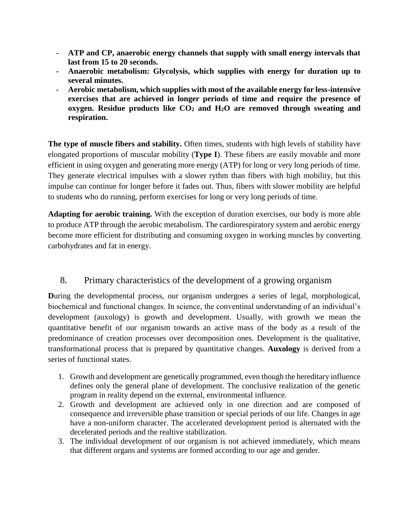- **- ATP and CP, anaerobic energy channels that supply with small energy intervals that last from 15 to 20 seconds.**
- **- Anaerobic metabolism: Glycolysis, which supplies with energy for duration up to several minutes.**
- **- Aerobic metabolism, which supplies with most of the available energy for less-intensive exercises that are achieved in longer periods of time and require the presence of oxygen. Residue products like CO<sup>2</sup> and H2O are removed through sweating and respiration.**

**The type of muscle fibers and stability.** Often times, students with high levels of stability have elongated proportions of muscular mobility (**Type I**). These fibers are easily movable and more efficient in using oxygen and generating more energy (ATP) for long or very long periods of time. They generate electrical impulses with a slower rythm than fibers with high mobility, but this impulse can continue for longer before it fades out. Thus, fibers with slower mobility are helpful to students who do running, perform exercises for long or very long periods of time.

**Adapting for aerobic training.** With the exception of duration exercises, our body is more able to produce ATP through the aerobic metabolism. The cardiorespiratory system and aerobic energy become more efficient for distributing and consuming oxygen in working muscles by converting carbohydrates and fat in energy.

# 8. Primary characteristics of the development of a growing organism

**D**uring the developmental process, our organism undergoes a series of legal, morphological, biochemical and functional changes. In science, the conventinal understanding of an individual's development (auxology) is growth and development. Usually, with growth we mean the quantitative benefit of our organism towards an active mass of the body as a result of the predominance of creation processes over decomposition ones. Development is the qualitative, transformational process that is prepared by quantitative changes. **Auxology** is derived from a series of functional states.

- 1. Growth and development are genetically programmed, even though the hereditary influence defines only the general plane of development. The conclusive realization of the genetic program in reality depend on the external, environmental influence.
- 2. Growth and development are achieved only in one direction and are composed of consequence and irreversible phase transition or special periods of our life. Changes in age have a non-uniform character. The accelerated development period is alternated with the decelerated periods and the realtive stabilization.
- 3. The individual development of our organism is not achieved immediately, which means that different organs and systems are formed according to our age and gender.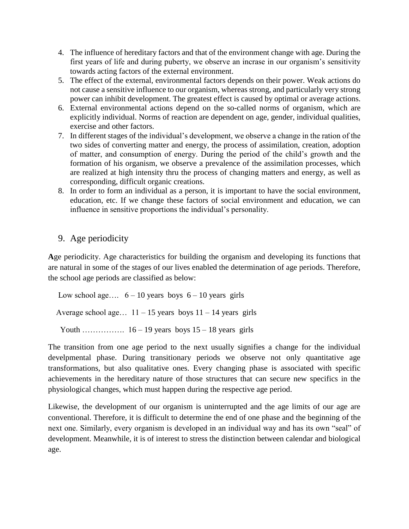- 4. The influence of hereditary factors and that of the environment change with age. During the first years of life and during puberty, we observe an incrase in our organism's sensitivity towards acting factors of the external environment.
- 5. The effect of the external, environmental factors depends on their power. Weak actions do not cause a sensitive influence to our organism, whereas strong, and particularly very strong power can inhibit development. The greatest effect is caused by optimal or average actions.
- 6. External environmental actions depend on the so-called norms of organism, which are explicitly individual. Norms of reaction are dependent on age, gender, individual qualities, exercise and other factors.
- 7. In different stages of the individual's development, we observe a change in the ration of the two sides of converting matter and energy, the process of assimilation, creation, adoption of matter, and consumption of energy. During the period of the child's growth and the formation of his organism, we observe a prevalence of the assimilation processes, which are realized at high intensity thru the process of changing matters and energy, as well as corresponding, difficult organic creations.
- 8. In order to form an individual as a person, it is important to have the social environment, education, etc. If we change these factors of social environment and education, we can influence in sensitive proportions the individual's personality.

# 9. Age periodicity

**A**ge periodicity. Age characteristics for building the organism and developing its functions that are natural in some of the stages of our lives enabled the determination of age periods. Therefore, the school age periods are classified as below:

Low school age....  $6 - 10$  years boys  $6 - 10$  years girls Average school age...  $11 - 15$  years boys  $11 - 14$  years girls

Youth ……………..  $16 - 19$  years boys  $15 - 18$  years girls

The transition from one age period to the next usually signifies a change for the individual develpmental phase. During transitionary periods we observe not only quantitative age transformations, but also qualitative ones. Every changing phase is associated with specific achievements in the hereditary nature of those structures that can secure new specifics in the physiological changes, which must happen during the respective age period.

Likewise, the development of our organism is uninterrupted and the age limits of our age are conventional. Therefore, it is difficult to determine the end of one phase and the beginning of the next one. Similarly, every organism is developed in an individual way and has its own "seal" of development. Meanwhile, it is of interest to stress the distinction between calendar and biological age.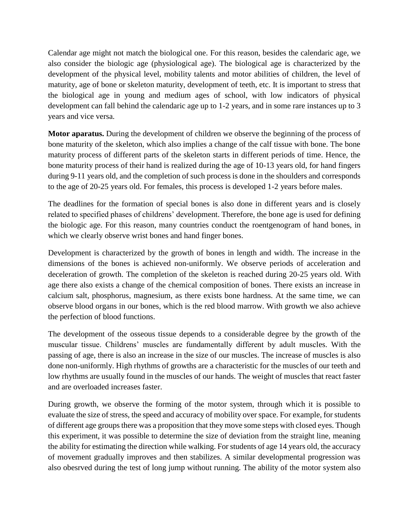Calendar age might not match the biological one. For this reason, besides the calendaric age, we also consider the biologic age (physiological age). The biological age is characterized by the development of the physical level, mobility talents and motor abilities of children, the level of maturity, age of bone or skeleton maturity, development of teeth, etc. It is important to stress that the biological age in young and medium ages of school, with low indicators of physical development can fall behind the calendaric age up to 1-2 years, and in some rare instances up to 3 years and vice versa.

**Motor aparatus.** During the development of children we observe the beginning of the process of bone maturity of the skeleton, which also implies a change of the calf tissue with bone. The bone maturity process of different parts of the skeleton starts in different periods of time. Hence, the bone maturity process of their hand is realized during the age of 10-13 years old, for hand fingers during 9-11 years old, and the completion of such process is done in the shoulders and corresponds to the age of 20-25 years old. For females, this process is developed 1-2 years before males.

The deadlines for the formation of special bones is also done in different years and is closely related to specified phases of childrens' development. Therefore, the bone age is used for defining the biologic age. For this reason, many countries conduct the roentgenogram of hand bones, in which we clearly observe wrist bones and hand finger bones.

Development is characterized by the growth of bones in length and width. The increase in the dimensions of the bones is achieved non-uniformly. We observe periods of acceleration and deceleration of growth. The completion of the skeleton is reached during 20-25 years old. With age there also exists a change of the chemical composition of bones. There exists an increase in calcium salt, phosphorus, magnesium, as there exists bone hardness. At the same time, we can observe blood organs in our bones, which is the red blood marrow. With growth we also achieve the perfection of blood functions.

The development of the osseous tissue depends to a considerable degree by the growth of the muscular tissue. Childrens' muscles are fundamentally different by adult muscles. With the passing of age, there is also an increase in the size of our muscles. The increase of muscles is also done non-uniformly. High rhythms of growths are a characteristic for the muscles of our teeth and low rhythms are usually found in the muscles of our hands. The weight of muscles that react faster and are overloaded increases faster.

During growth, we observe the forming of the motor system, through which it is possible to evaluate the size of stress, the speed and accuracy of mobility over space. For example, for students of different age groups there was a proposition that they move some steps with closed eyes. Though this experiment, it was possible to determine the size of deviation from the straight line, meaning the ability for estimating the direction while walking. For students of age 14 years old, the accuracy of movement gradually improves and then stabilizes. A similar developmental progression was also obesrved during the test of long jump without running. The ability of the motor system also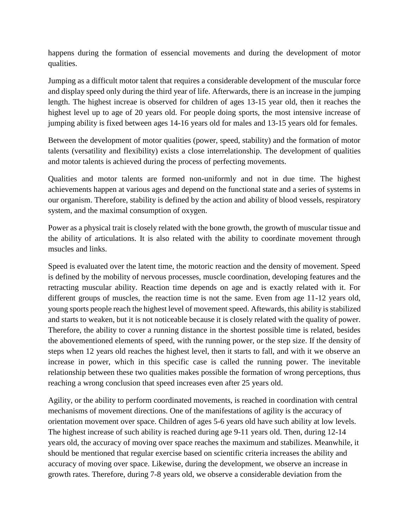happens during the formation of essencial movements and during the development of motor qualities.

Jumping as a difficult motor talent that requires a considerable development of the muscular force and display speed only during the third year of life. Afterwards, there is an increase in the jumping length. The highest increae is observed for children of ages 13-15 year old, then it reaches the highest level up to age of 20 years old. For people doing sports, the most intensive increase of jumping ability is fixed between ages 14-16 years old for males and 13-15 years old for females.

Between the development of motor qualities (power, speed, stability) and the formation of motor talents (versatility and flexibility) exists a close interrelationship. The development of qualities and motor talents is achieved during the process of perfecting movements.

Qualities and motor talents are formed non-uniformly and not in due time. The highest achievements happen at various ages and depend on the functional state and a series of systems in our organism. Therefore, stability is defined by the action and ability of blood vessels, respiratory system, and the maximal consumption of oxygen.

Power as a physical trait is closely related with the bone growth, the growth of muscular tissue and the ability of articulations. It is also related with the ability to coordinate movement through msucles and links.

Speed is evaluated over the latent time, the motoric reaction and the density of movement. Speed is defined by the mobility of nervous processes, muscle coordination, developing features and the retracting muscular ability. Reaction time depends on age and is exactly related with it. For different groups of muscles, the reaction time is not the same. Even from age 11-12 years old, young sports people reach the highest level of movement speed. Aftewards, this ability is stabilized and starts to weaken, but it is not noticeable because it is closely related with the quality of power. Therefore, the ability to cover a running distance in the shortest possible time is related, besides the abovementioned elements of speed, with the running power, or the step size. If the density of steps when 12 years old reaches the highest level, then it starts to fall, and with it we observe an increase in power, which in this specific case is called the running power. The inevitable relationship between these two qualities makes possible the formation of wrong perceptions, thus reaching a wrong conclusion that speed increases even after 25 years old.

Agility, or the ability to perform coordinated movements, is reached in coordination with central mechanisms of movement directions. One of the manifestations of agility is the accuracy of orientation movement over space. Children of ages 5-6 years old have such ability at low levels. The highest increase of such ability is reached during age 9-11 years old. Then, during 12-14 years old, the accuracy of moving over space reaches the maximum and stabilizes. Meanwhile, it should be mentioned that regular exercise based on scientific criteria increases the ability and accuracy of moving over space. Likewise, during the development, we observe an increase in growth rates. Therefore, during 7-8 years old, we observe a considerable deviation from the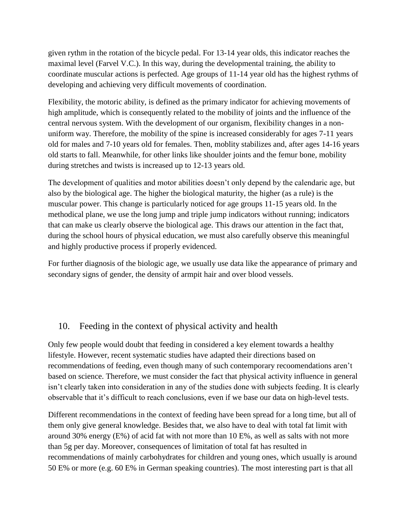given rythm in the rotation of the bicycle pedal. For 13-14 year olds, this indicator reaches the maximal level (Farvel V.C.). In this way, during the developmental training, the ability to coordinate muscular actions is perfected. Age groups of 11-14 year old has the highest rythms of developing and achieving very difficult movements of coordination.

Flexibility, the motoric ability, is defined as the primary indicator for achieving movements of high amplitude, which is consequently related to the mobility of joints and the influence of the central nervous system. With the development of our organism, flexibility changes in a nonuniform way. Therefore, the mobility of the spine is increased considerably for ages 7-11 years old for males and 7-10 years old for females. Then, moblity stabilizes and, after ages 14-16 years old starts to fall. Meanwhile, for other links like shoulder joints and the femur bone, mobility during stretches and twists is increased up to 12-13 years old.

The development of qualities and motor abilities doesn't only depend by the calendaric age, but also by the biological age. The higher the biological maturity, the higher (as a rule) is the muscular power. This change is particularly noticed for age groups 11-15 years old. In the methodical plane, we use the long jump and triple jump indicators without running; indicators that can make us clearly observe the biological age. This draws our attention in the fact that, during the school hours of physical education, we must also carefully observe this meaningful and highly productive process if properly evidenced.

For further diagnosis of the biologic age, we usually use data like the appearance of primary and secondary signs of gender, the density of armpit hair and over blood vessels.

# 10. Feeding in the context of physical activity and health

Only few people would doubt that feeding in considered a key element towards a healthy lifestyle. However, recent systematic studies have adapted their directions based on recommendations of feeding, even though many of such contemporary recoomendations aren't based on science. Therefore, we must consider the fact that physical activity influence in general isn't clearly taken into consideration in any of the studies done with subjects feeding. It is clearly observable that it's difficult to reach conclusions, even if we base our data on high-level tests.

Different recommendations in the context of feeding have been spread for a long time, but all of them only give general knowledge. Besides that, we also have to deal with total fat limit with around 30% energy (E%) of acid fat with not more than 10 E%, as well as salts with not more than 5g per day. Moreover, consequences of limitation of total fat has resulted in recommendations of mainly carbohydrates for children and young ones, which usually is around 50 E% or more (e.g. 60 E% in German speaking countries). The most interesting part is that all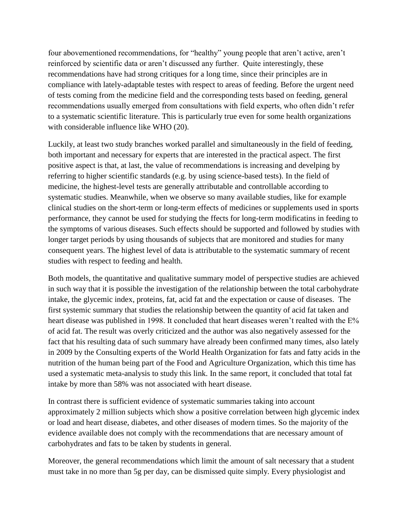four abovementioned recommendations, for "healthy" young people that aren't active, aren't reinforced by scientific data or aren't discussed any further. Quite interestingly, these recommendations have had strong critiques for a long time, since their principles are in compliance with lately-adaptable testes with respect to areas of feeding. Before the urgent need of tests coming from the medicine field and the corresponding tests based on feeding, general recommendations usually emerged from consultations with field experts, who often didn't refer to a systematic scientific literature. This is particularly true even for some health organizations with considerable influence like WHO  $(20)$ .

Luckily, at least two study branches worked parallel and simultaneously in the field of feeding, both important and necessary for experts that are interested in the practical aspect. The first positive aspect is that, at last, the value of recommendations is increasing and develping by referring to higher scientific standards (e.g. by using science-based tests). In the field of medicine, the highest-level tests are generally attributable and controllable according to systematic studies. Meanwhile, when we observe so many available studies, like for example clinical studies on the short-term or long-term effects of medicines or supplements used in sports performance, they cannot be used for studying the ffects for long-term modificatins in feeding to the symptoms of various diseases. Such effects should be supported and followed by studies with longer target periods by using thousands of subjects that are monitored and studies for many consequent years. The highest level of data is attributable to the systematic summary of recent studies with respect to feeding and health.

Both models, the quantitative and qualitative summary model of perspective studies are achieved in such way that it is possible the investigation of the relationship between the total carbohydrate intake, the glycemic index, proteins, fat, acid fat and the expectation or cause of diseases. The first systemic summary that studies the relationship between the quantity of acid fat taken and heart disease was published in 1998. It concluded that heart diseases weren't realted with the  $E\%$ of acid fat. The result was overly criticized and the author was also negatively assessed for the fact that his resulting data of such summary have already been confirmed many times, also lately in 2009 by the Consulting experts of the World Health Organization for fats and fatty acids in the nutrition of the human being part of the Food and Agriculture Organization, which this time has used a systematic meta-analysis to study this link. In the same report, it concluded that total fat intake by more than 58% was not associated with heart disease.

In contrast there is sufficient evidence of systematic summaries taking into account approximately 2 million subjects which show a positive correlation between high glycemic index or load and heart disease, diabetes, and other diseases of modern times. So the majority of the evidence available does not comply with the recommendations that are necessary amount of carbohydrates and fats to be taken by students in general.

Moreover, the general recommendations which limit the amount of salt necessary that a student must take in no more than 5g per day, can be dismissed quite simply. Every physiologist and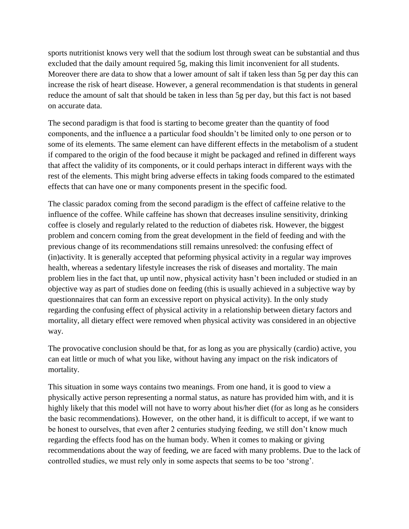sports nutritionist knows very well that the sodium lost through sweat can be substantial and thus excluded that the daily amount required 5g, making this limit inconvenient for all students. Moreover there are data to show that a lower amount of salt if taken less than 5g per day this can increase the risk of heart disease. However, a general recommendation is that students in general reduce the amount of salt that should be taken in less than 5g per day, but this fact is not based on accurate data.

The second paradigm is that food is starting to become greater than the quantity of food components, and the influence a a particular food shouldn't be limited only to one person or to some of its elements. The same element can have different effects in the metabolism of a student if compared to the origin of the food because it might be packaged and refined in different ways that affect the validity of its components, or it could perhaps interact in different ways with the rest of the elements. This might bring adverse effects in taking foods compared to the estimated effects that can have one or many components present in the specific food.

The classic paradox coming from the second paradigm is the effect of caffeine relative to the influence of the coffee. While caffeine has shown that decreases insuline sensitivity, drinking coffee is closely and regularly related to the reduction of diabetes risk. However, the biggest problem and concern coming from the great development in the field of feeding and with the previous change of its recommendations still remains unresolved: the confusing effect of (in)activity. It is generally accepted that peforming physical activity in a regular way improves health, whereas a sedentary lifestyle increases the risk of diseases and mortality. The main problem lies in the fact that, up until now, physical activity hasn't been included or studied in an objective way as part of studies done on feeding (this is usually achieved in a subjective way by questionnaires that can form an excessive report on physical activity). In the only study regarding the confusing effect of physical activity in a relationship between dietary factors and mortality, all dietary effect were removed when physical activity was considered in an objective way.

The provocative conclusion should be that, for as long as you are physically (cardio) active, you can eat little or much of what you like, without having any impact on the risk indicators of mortality.

This situation in some ways contains two meanings. From one hand, it is good to view a physically active person representing a normal status, as nature has provided him with, and it is highly likely that this model will not have to worry about his/her diet (for as long as he considers the basic recommendations). However, on the other hand, it is difficult to accept, if we want to be honest to ourselves, that even after 2 centuries studying feeding, we still don't know much regarding the effects food has on the human body. When it comes to making or giving recommendations about the way of feeding, we are faced with many problems. Due to the lack of controlled studies, we must rely only in some aspects that seems to be too 'strong'.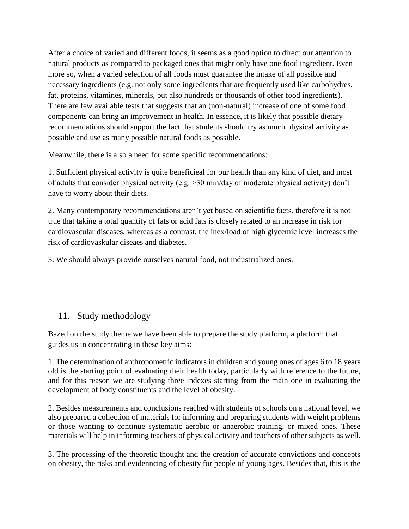After a choice of varied and different foods, it seems as a good option to direct our attention to natural products as compared to packaged ones that might only have one food ingredient. Even more so, when a varied selection of all foods must guarantee the intake of all possible and necessary ingredients (e.g. not only some ingredients that are frequently used like carbohydres, fat, proteins, vitamines, minerals, but also hundreds or thousands of other food ingredients). There are few available tests that suggests that an (non-natural) increase of one of some food components can bring an improvement in health. In essence, it is likely that possible dietary recommendations should support the fact that students should try as much physical activity as possible and use as many possible natural foods as possible.

Meanwhile, there is also a need for some specific recommendations:

1. Sufficient physical activity is quite beneficieal for our health than any kind of diet, and most of adults that consider physical activity (e.g. >30 min/day of moderate physical activity) don't have to worry about their diets.

2. Many contemporary recommendations aren't yet based on scientific facts, therefore it is not true that taking a total quantity of fats or acid fats is closely related to an increase in risk for cardiovascular diseases, whereas as a contrast, the inex/load of high glycemic level increases the risk of cardiovaskular diseaes and diabetes.

3. We should always provide ourselves natural food, not industrialized ones.

# 11. Study methodology

Bazed on the study theme we have been able to prepare the study platform, a platform that guides us in concentrating in these key aims:

1. The determination of anthropometric indicators in children and young ones of ages 6 to 18 years old is the starting point of evaluating their health today, particularly with reference to the future, and for this reason we are studying three indexes starting from the main one in evaluating the development of body constituents and the level of obesity.

2. Besides measurements and conclusions reached with students of schools on a national level, we also prepared a collection of materials for informing and preparing students with weight problems or those wanting to continue systematic aerobic or anaerobic training, or mixed ones. These materials will help in informing teachers of physical activity and teachers of other subjects as well.

3. The processing of the theoretic thought and the creation of accurate convictions and concepts on obesity, the risks and evidenncing of obesity for people of young ages. Besides that, this is the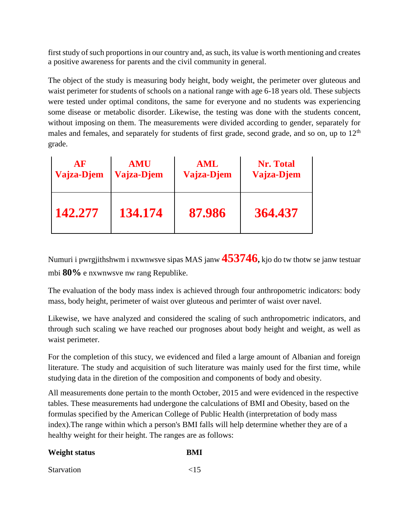first study of such proportions in our country and, as such, its value is worth mentioning and creates a positive awareness for parents and the civil community in general.

The object of the study is measuring body height, body weight, the perimeter over gluteous and waist perimeter for students of schools on a national range with age 6-18 years old. These subjects were tested under optimal conditons, the same for everyone and no students was experiencing some disease or metabolic disorder. Likewise, the testing was done with the students concent, without imposing on them. The measurements were divided according to gender, separately for males and females, and separately for students of first grade, second grade, and so on, up to 12<sup>th</sup> grade.

| AF         | <b>AMU</b> | <b>AML</b> | <b>Nr. Total</b> |
|------------|------------|------------|------------------|
| Vajza-Djem | Vajza-Djem | Vajza-Djem | Vajza-Djem       |
| 142.277    | 134.174    | 87.986     | 364.437          |

Numuri i pwrgjithshwm i nxwnwsve sipas MAS janw **453746,** kjo do tw thotw se janw testuar mbi **80%** e nxwnwsve nw rang Republike.

The evaluation of the body mass index is achieved through four anthropometric indicators: body mass, body height, perimeter of waist over gluteous and perimter of waist over navel.

Likewise, we have analyzed and considered the scaling of such anthropometric indicators, and through such scaling we have reached our prognoses about body height and weight, as well as waist perimeter.

For the completion of this stucy, we evidenced and filed a large amount of Albanian and foreign literature. The study and acquisition of such literature was mainly used for the first time, while studying data in the diretion of the composition and components of body and obesity.

All measurements done pertain to the month October, 2015 and were evidenced in the respective tables. These measurements had undergone the calculations of BMI and Obesity, based on the formulas specified by the American College of Public Health (interpretation of body mass index).The range within which a person's BMI falls will help determine whether they are of a healthy weight for their height. The ranges are as follows:

| <b>Weight status</b> | <b>BMI</b> |
|----------------------|------------|
| <b>Starvation</b>    | ${<}15$    |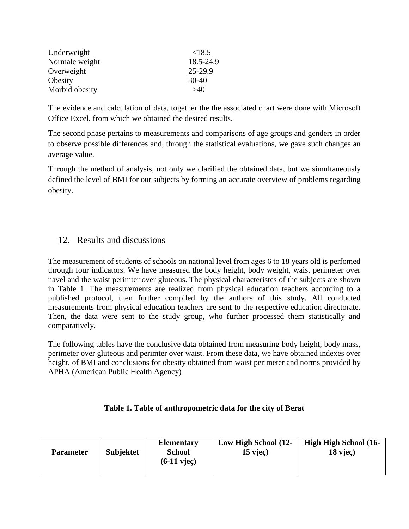| Underweight    | ${<}18.5$ |
|----------------|-----------|
| Normale weight | 18.5-24.9 |
| Overweight     | 25-29.9   |
| Obesity        | 30-40     |
| Morbid obesity | >40       |

The evidence and calculation of data, together the the associated chart were done with Microsoft Office Excel, from which we obtained the desired results.

The second phase pertains to measurements and comparisons of age groups and genders in order to observe possible differences and, through the statistical evaluations, we gave such changes an average value.

Through the method of analysis, not only we clarified the obtained data, but we simultaneously defined the level of BMI for our subjects by forming an accurate overview of problems regarding obesity.

# 12. Results and discussions

The measurement of students of schools on national level from ages 6 to 18 years old is perfomed through four indicators. We have measured the body height, body weight, waist perimeter over navel and the waist perimter over gluteous. The physical characteristcs of the subjects are shown in Table 1. The measurements are realized from physical education teachers according to a published protocol, then further compiled by the authors of this study. All conducted measurements from physical education teachers are sent to the respective education directorate. Then, the data were sent to the study group, who further processed them statistically and comparatively.

The following tables have the conclusive data obtained from measuring body height, body mass, perimeter over gluteous and perimter over waist. From these data, we have obtained indexes over height, of BMI and conclusions for obesity obtained from waist perimeter and norms provided by APHA (American Public Health Agency)

#### **Table 1. Table of anthropometric data for the city of Berat**

| <b>Parameter</b> | <b>Subjektet</b> | <b>Elementary</b><br><b>School</b><br>$(6-11$ vjec $)$ | Low High School (12-<br>$15$ viec) | <b>High High School (16-</b><br>$18$ vjec $)$ |
|------------------|------------------|--------------------------------------------------------|------------------------------------|-----------------------------------------------|
|                  |                  |                                                        |                                    |                                               |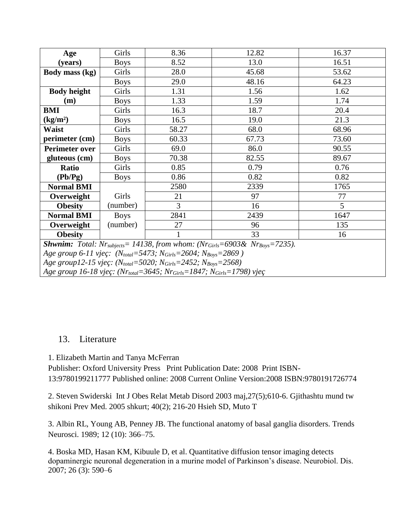| Age                                                                                                                          | Girls       | 8.36           | 12.82 | 16.37           |
|------------------------------------------------------------------------------------------------------------------------------|-------------|----------------|-------|-----------------|
| (years)                                                                                                                      | <b>Boys</b> | 8.52           | 13.0  | 16.51           |
| Body mass (kg)                                                                                                               | Girls       | 28.0           | 45.68 | 53.62           |
|                                                                                                                              | <b>Boys</b> | 29.0           | 48.16 | 64.23           |
| <b>Body height</b>                                                                                                           | Girls       | 1.31           | 1.56  | 1.62            |
| (m)                                                                                                                          | <b>Boys</b> | 1.33           | 1.59  | 1.74            |
| <b>BMI</b>                                                                                                                   | Girls       | 16.3           | 18.7  | 20.4            |
| (kg/m <sup>2</sup> )                                                                                                         | <b>Boys</b> | 16.5           | 19.0  | 21.3            |
| <b>Waist</b>                                                                                                                 | Girls       | 58.27          | 68.0  | 68.96           |
| perimeter (cm)                                                                                                               | <b>Boys</b> | 60.33          | 67.73 | 73.60           |
| <b>Perimeter over</b>                                                                                                        | Girls       | 69.0           | 86.0  | 90.55           |
| gluteous (cm)                                                                                                                | <b>Boys</b> | 70.38          | 82.55 | 89.67           |
| Ratio                                                                                                                        | Girls       | 0.85           | 0.79  | 0.76            |
| (Pb/Pg)                                                                                                                      | <b>Boys</b> | 0.86           | 0.82  | 0.82            |
| <b>Normal BMI</b>                                                                                                            |             | 2580           | 2339  | 1765            |
| Overweight                                                                                                                   | Girls       | 21             | 97    | 77              |
| <b>Obesity</b>                                                                                                               | (number)    | $\overline{3}$ | 16    | $5\overline{)}$ |
| <b>Normal BMI</b>                                                                                                            | <b>Boys</b> | 2841           | 2439  | 1647            |
| Overweight                                                                                                                   | (number)    | 27             | 96    | 135             |
| <b>Obesity</b>                                                                                                               |             |                | 33    | 16              |
| <b>Shwnim:</b> Total: $Nr_{\text{subjects}} = 14138$ , from whom: ( $Nr_{\text{Girls}} = 6903 \& NF_{\text{Boys}} = 7235$ ). |             |                |       |                 |
| Age group 6-11 vjeç: $(N_{total} = 5473; N_{Girls} = 2604; N_{Boys} = 2869)$                                                 |             |                |       |                 |
| Age group12-15 vjeç: (N <sub>total</sub> =5020; N <sub>Girls</sub> =2452; N <sub>Boys</sub> =2568)                           |             |                |       |                 |

*Age group 16-18 vjeç: (Nrtotal=3645; NrGirls=1847; NGirls=1798) vjeç*

## 13. Literature

1. Elizabeth Martin and Tanya McFerran

Publisher: Oxford University Press Print Publication Date: 2008 Print ISBN-13:9780199211777 Published online: 2008 Current Online Version:2008 ISBN:9780191726774

2. Steven Swiderski Int J Obes Relat Metab Disord 2003 maj,27(5);610-6. Gjithashtu mund tw shikoni Prev Med. 2005 shkurt; 40(2); 216-20 Hsieh SD, Muto T

3. Albin RL, Young AB, Penney JB. The functional anatomy of basal ganglia disorders. Trends Neurosci. 1989; 12 (10): 366–75.

4. Boska MD, Hasan KM, Kibuule D, et al. Quantitative diffusion tensor imaging detects dopaminergic neuronal degeneration in a murine model of Parkinson's disease. Neurobiol. Dis. 2007; 26 (3): 590–6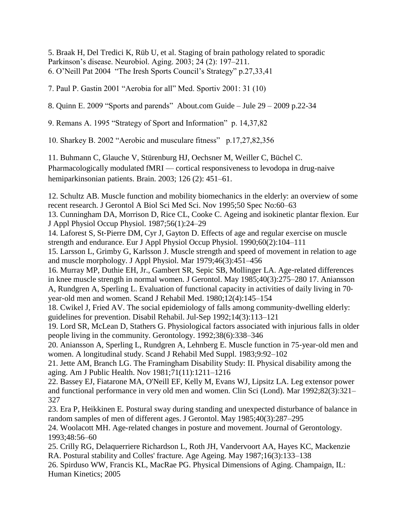5. Braak H, Del Tredici K, Rüb U, et al. Staging of brain pathology related to sporadic Parkinson's disease. Neurobiol. Aging. 2003; 24 (2): 197–211. 6. O'Neill Pat 2004 "The Iresh Sports Council's Strategy" p.27,33,41

7. Paul P. Gastin 2001 "Aerobia for all" Med. Sportiv 2001: 31 (10)

8. Quinn E. 2009 "Sports and parends" About.com Guide – Jule 29 – 2009 p.22-34

9. Remans A. 1995 "Strategy of Sport and Information" p. 14,37,82

10. Sharkey B. 2002 "Aerobic and musculare fitness" p.17,27,82,356

11. Buhmann C, Glauche V, Stürenburg HJ, Oechsner M, Weiller C, Büchel C. Pharmacologically modulated fMRI — cortical responsiveness to levodopa in drug-naive hemiparkinsonian patients. Brain. 2003; 126 (2): 451–61.

12. Schultz AB. Muscle function and mobility biomechanics in the elderly: an overview of some recent research. J Gerontol A Biol Sci Med Sci. Nov 1995;50 Spec No:60–63

13. Cunningham DA, Morrison D, Rice CL, Cooke C. Ageing and isokinetic plantar flexion. Eur J Appl Physiol Occup Physiol. 1987;56(1):24–29

14. Laforest S, St‐Pierre DM, Cyr J, Gayton D. Effects of age and regular exercise on muscle strength and endurance. Eur J Appl Physiol Occup Physiol. 1990;60(2):104–111

15. Larsson L, Grimby G, Karlsson J. Muscle strength and speed of movement in relation to age and muscle morphology. J Appl Physiol. Mar 1979;46(3):451–456

16. Murray MP, Duthie EH, Jr., Gambert SR, Sepic SB, Mollinger LA. Age‐related differences in knee muscle strength in normal women. J Gerontol. May 1985;40(3):275–280 17. Aniansson A, Rundgren A, Sperling L. Evaluation of functional capacity in activities of daily living in 70‐ year‐old men and women. Scand J Rehabil Med. 1980;12(4):145–154

18. Cwikel J, Fried AV. The social epidemiology of falls among community-dwelling elderly: guidelines for prevention. Disabil Rehabil. Jul‐Sep 1992;14(3):113–121

19. Lord SR, McLean D, Stathers G. Physiological factors associated with injurious falls in older people living in the community. Gerontology. 1992;38(6):338–346

20. Aniansson A, Sperling L, Rundgren A, Lehnberg E. Muscle function in 75‐year‐old men and women. A longitudinal study. Scand J Rehabil Med Suppl. 1983;9:92–102

21. Jette AM, Branch LG. The Framingham Disability Study: II. Physical disability among the aging. Am J Public Health. Nov 1981;71(11):1211–1216

22. Bassey EJ, Fiatarone MA, O'Neill EF, Kelly M, Evans WJ, Lipsitz LA. Leg extensor power and functional performance in very old men and women. Clin Sci (Lond). Mar 1992;82(3):321– 327

23. Era P, Heikkinen E. Postural sway during standing and unexpected disturbance of balance in random samples of men of different ages. J Gerontol. May 1985;40(3):287–295

24. Woolacott MH. Age‐related changes in posture and movement. Journal of Gerontology. 1993;48:56–60

25. Crilly RG, Delaquerriere Richardson L, Roth JH, Vandervoort AA, Hayes KC, Mackenzie RA. Postural stability and Colles' fracture. Age Ageing. May 1987;16(3):133–138

26. Spirduso WW, Francis KL, MacRae PG. Physical Dimensions of Aging. Champaign, IL: Human Kinetics; 2005